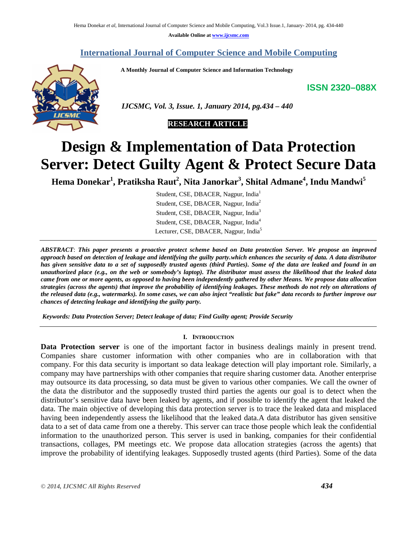**Available Online at www.ijcsmc.com**

# **International Journal of Computer Science and Mobile Computing**

 **A Monthly Journal of Computer Science and Information Technology**

**ISSN 2320–088X**



 *IJCSMC, Vol. 3, Issue. 1, January 2014, pg.434 – 440*



# **Design & Implementation of Data Protection Server: Detect Guilty Agent & Protect Secure Data**

**Hema Donekar<sup>1</sup> , Pratiksha Raut<sup>2</sup> , Nita Janorkar<sup>3</sup> , Shital Admane<sup>4</sup> , Indu Mandwi<sup>5</sup>**

Student, CSE, DBACER, Nagpur, India<sup>1</sup> Student, CSE, DBACER, Nagpur, India<sup>2</sup> Student, CSE, DBACER, Nagpur, India<sup>3</sup> Student, CSE, DBACER, Nagpur, India<sup>4</sup> Lecturer, CSE, DBACER, Nagpur, India<sup>5</sup>

*ABSTRACT*: *This paper presents a proactive protect scheme based on Data protection Server. We propose an improved approach based on detection of leakage and identifying the guilty party.which enhances the security of data. A data distributor has given sensitive data to a set of supposedly trusted agents (third Parties). Some of the data are leaked and found in an unauthorized place (e.g., on the web or somebody's laptop). The distributor must assess the likelihood that the leaked data came from one or more agents, as opposed to having been independently gathered by other Means. We propose data allocation strategies (across the agents) that improve the probability of identifying leakages. These methods do not rely on alterations of the released data (e.g., watermarks). In some cases, we can also inject "realistic but fake" data records to further improve our chances of detecting leakage and identifying the guilty party.*

*Keywords: Data Protection Server; Detect leakage of data; Find Guilty agent; Provide Security*

#### **I. INTRODUCTION**

**Data Protection server** is one of the important factor in business dealings mainly in present trend. Companies share customer information with other companies who are in collaboration with that company. For this data security is important so data leakage detection will play important role. Similarly, a company may have partnerships with other companies that require sharing customer data. Another enterprise may outsource its data processing, so data must be given to various other companies. We call the owner of the data the distributor and the supposedly trusted third parties the agents our goal is to detect when the distributor's sensitive data have been leaked by agents, and if possible to identify the agent that leaked the data. The main objective of developing this data protection server is to trace the leaked data and misplaced having been independently assess the likelihood that the leaked data.A data distributor has given sensitive data to a set of data came from one a thereby. This server can trace those people which leak the confidential information to the unauthorized person. This server is used in banking, companies for their confidential transactions, collages, PM meetings etc. We propose data allocation strategies (across the agents) that improve the probability of identifying leakages. Supposedly trusted agents (third Parties). Some of the data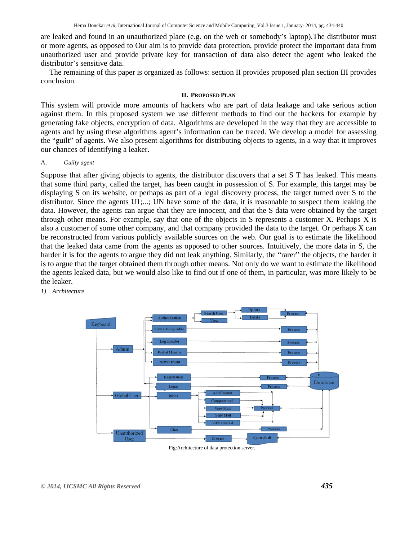are leaked and found in an unauthorized place (e.g. on the web or somebody's laptop).The distributor must or more agents, as opposed to Our aim is to provide data protection, provide protect the important data from unauthorized user and provide private key for transaction of data also detect the agent who leaked the distributor's sensitive data.

The remaining of this paper is organized as follows: section II provides proposed plan section III provides conclusion.

#### **II. PROPOSED PLAN**

This system will provide more amounts of hackers who are part of data leakage and take serious action against them. In this proposed system we use different methods to find out the hackers for example by generating fake objects, encryption of data. Algorithms are developed in the way that they are accessible to agents and by using these algorithms agent's information can be traced. We develop a model for assessing the "guilt" of agents. We also present algorithms for distributing objects to agents, in a way that it improves our chances of identifying a leaker.

A. *Guilty agent*

Suppose that after giving objects to agents, the distributor discovers that a set S T has leaked. This means that some third party, called the target, has been caught in possession of S. For example, this target may be displaying S on its website, or perhaps as part of a legal discovery process, the target turned over S to the distributor. Since the agents U1;...; UN have some of the data, it is reasonable to suspect them leaking the data. However, the agents can argue that they are innocent, and that the S data were obtained by the target through other means. For example, say that one of the objects in S represents a customer X. Perhaps X is also a customer of some other company, and that company provided the data to the target. Or perhaps X can be reconstructed from various publicly available sources on the web. Our goal is to estimate the likelihood that the leaked data came from the agents as opposed to other sources. Intuitively, the more data in S, the harder it is for the agents to argue they did not leak anything. Similarly, the "rarer" the objects, the harder it is to argue that the target obtained them through other means. Not only do we want to estimate the likelihood the agents leaked data, but we would also like to find out if one of them, in particular, was more likely to be the leaker.

*1) Architecture*



Fig:Architecture of data protection server.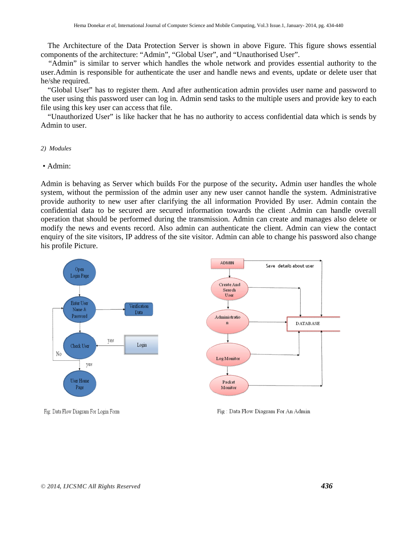The Architecture of the Data Protection Server is shown in above Figure. This figure shows essential components of the architecture: "Admin", "Global User", and "Unauthorised User".

 "Admin" is similar to server which handles the whole network and provides essential authority to the user.Admin is responsible for authenticate the user and handle news and events, update or delete user that he/she required.

"Global User" has to register them. And after authentication admin provides user name and password to the user using this password user can log in. Admin send tasks to the multiple users and provide key to each file using this key user can access that file.

"Unauthorized User" is like hacker that he has no authority to access confidential data which is sends by Admin to user.

#### *2) Modules*

#### • Admin:

Admin is behaving as Server which builds For the purpose of the security**.** Admin user handles the whole system, without the permission of the admin user any new user cannot handle the system. Administrative provide authority to new user after clarifying the all information Provided By user. Admin contain the confidential data to be secured are secured information towards the client .Admin can handle overall operation that should be performed during the transmission. Admin can create and manages also delete or modify the news and events record. Also admin can authenticate the client. Admin can view the contact enquiry of the site visitors, IP address of the site visitor. Admin can able to change his password also change his profile Picture.



Fig: Data Flow Diagram For Login Form

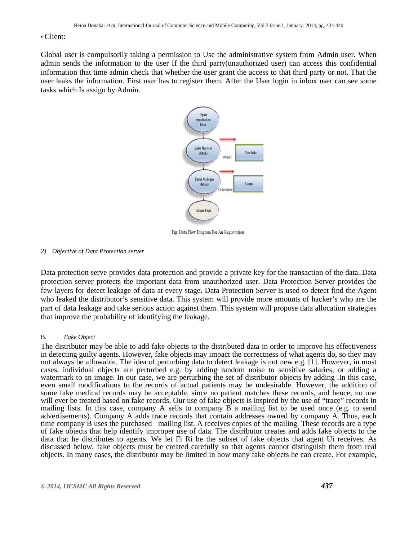### • Client:

Global user is compulsorily taking a permission to Use the administrative system from Admin user. When admin sends the information to the user If the third party(unauthorized user) can access this confidential information that time admin check that whether the user grant the access to that third party or not. That the user leaks the information. First user has to register them. After the User login in inbox user can see some tasks which Is assign by Admin.



Fig: Data Flow Diagram For An Registration

#### *2) Objective of Data Protection server*

Data protection serve provides data protection and provide a private key for the transaction of the data..Data protection server protects the important data from unauthorized user. Data Protection Server provides the few layers for detect leakage of data at every stage. Data Protection Server is used to detect find the Agent who leaked the distributor's sensitive data. This system will provide more amounts of hacker's who are the part of data leakage and take serious action against them. This system will propose data allocation strategies that improve the probability of identifying the leakage.

#### B. *Fake Object*

The distributor may be able to add fake objects to the distributed data in order to improve his effectiveness in detecting guilty agents. However, fake objects may impact the correctness of what agents do, so they may not always be allowable. The idea of perturbing data to detect leakage is not new e.g. [1]. However, in most cases, individual objects are perturbed e.g. by adding random noise to sensitive salaries, or adding a watermark to an image. In our case, we are perturbing the set of distributor objects by adding .In this case, even small modifications to the records of actual patients may be undesirable. However, the addition of some fake medical records may be acceptable, since no patient matches these records, and hence, no one will ever be treated based on fake records. Our use of fake objects is inspired by the use of "trace" records in mailing lists. In this case, company A sells to company B a mailing list to be used once (e.g. to send advertisements). Company A adds trace records that contain addresses owned by company A. Thus, each time company B uses the purchased mailing list. A receives copies of the mailing. These records are a type of fake objects that help identify improper use of data. The distributor creates and adds fake objects to the data that he distributes to agents. We let Fi Ri be the subset of fake objects that agent Ui receives. As discussed below, fake objects must be created carefully so that agents cannot distinguish them from real objects. In many cases, the distributor may be limited in how many fake objects he can create. For example,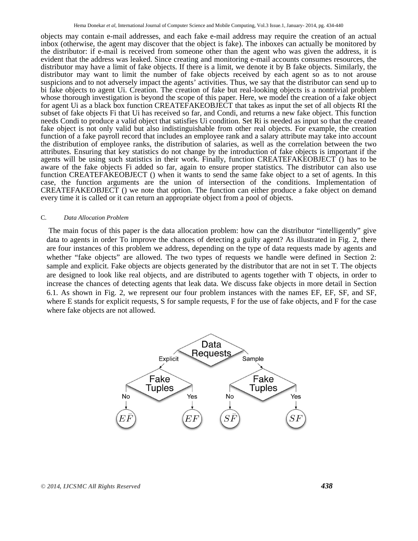objects may contain e-mail addresses, and each fake e-mail address may require the creation of an actual inbox (otherwise, the agent may discover that the object is fake). The inboxes can actually be monitored by the distributor: if e-mail is received from someone other than the agent who was given the address, it is evident that the address was leaked. Since creating and monitoring e-mail accounts consumes resources, the distributor may have a limit of fake objects. If there is a limit, we denote it by B fake objects. Similarly, the distributor may want to limit the number of fake objects received by each agent so as to not arouse suspicions and to not adversely impact the agents' activities. Thus, we say that the distributor can send up to bi fake objects to agent Ui. Creation. The creation of fake but real-looking objects is a nontrivial problem whose thorough investigation is beyond the scope of this paper. Here, we model the creation of a fake object for agent Ui as a black box function CREATEFAKEOBJECT that takes as input the set of all objects RI the subset of fake objects Fi that Ui has received so far, and Condi, and returns a new fake object. This function needs Condi to produce a valid object that satisfies Ui condition. Set Ri is needed as input so that the created fake object is not only valid but also indistinguishable from other real objects. For example, the creation function of a fake payroll record that includes an employee rank and a salary attribute may take into account the distribution of employee ranks, the distribution of salaries, as well as the correlation between the two attributes. Ensuring that key statistics do not change by the introduction of fake objects is important if the agents will be using such statistics in their work. Finally, function CREATEFAKEOBJECT () has to be aware of the fake objects Fi added so far, again to ensure proper statistics. The distributor can also use function CREATEFAKEOBJECT () when it wants to send the same fake object to a set of agents. In this case, the function arguments are the union of intersection of the conditions. Implementation of CREATEFAKEOBJECT () we note that option. The function can either produce a fake object on demand every time it is called or it can return an appropriate object from a pool of objects.

#### C. *Data Allocation Problem*

The main focus of this paper is the data allocation problem: how can the distributor "intelligently" give data to agents in order To improve the chances of detecting a guilty agent? As illustrated in Fig. 2, there are four instances of this problem we address, depending on the type of data requests made by agents and whether "fake objects" are allowed. The two types of requests we handle were defined in Section 2: sample and explicit. Fake objects are objects generated by the distributor that are not in set T. The objects are designed to look like real objects, and are distributed to agents together with T objects, in order to increase the chances of detecting agents that leak data. We discuss fake objects in more detail in Section 6.1. As shown in Fig. 2, we represent our four problem instances with the names EF, EF, SF, and SF, where E stands for explicit requests, S for sample requests, F for the use of fake objects, and F for the case where fake objects are not allowed.

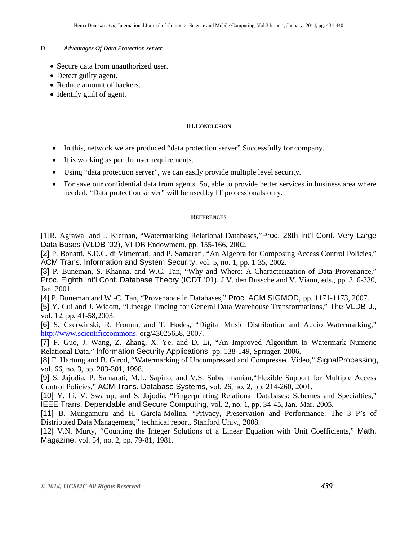## D. *Advantages Of Data Protection server*

- Secure data from unauthorized user.
- Detect guilty agent.
- Reduce amount of hackers.
- Identify guilt of agent.

# **III.CONCLUSION**

- In this, network we are produced "data protection server" Successfully for company.
- It is working as per the user requirements.
- Using "data protection server", we can easily provide multiple level security.
- For save our confidential data from agents. So, able to provide better services in business area where needed. "Data protection server" will be used by IT professionals only.

# **REFERENCES**

[1]R. Agrawal and J. Kiernan, "Watermarking Relational Databases,"Proc. 28th Int'l Conf. Very Large Data Bases (VLDB '02), VLDB Endowment, pp. 155-166, 2002.

[2] P. Bonatti, S.D.C. di Vimercati, and P. Samarati, "An Algebra for Composing Access Control Policies," ACM Trans. Information and System Security, vol. 5, no. 1, pp. 1-35, 2002.

[3] P. Buneman, S. Khanna, and W.C. Tan, "Why and Where: A Characterization of Data Provenance," Proc. Eighth Int'l Conf. Database Theory (ICDT '01), J.V. den Bussche and V. Vianu, eds., pp. 316-330, Jan. 2001.

[4] P. Buneman and W.-C. Tan, "Provenance in Databases," Proc. ACM SIGMOD, pp. 1171-1173, 2007.

[5] Y. Cui and J. Widom, "Lineage Tracing for General Data Warehouse Transformations," The VLDB J., vol. 12, pp. 41-58,2003.

[6] S. Czerwinski, R. Fromm, and T. Hodes, "Digital Music Distribution and Audio Watermarking," http://www.scientificcommons. org/43025658, 2007.

[7] F. Guo, J. Wang, Z. Zhang, X. Ye, and D. Li, "An Improved Algorithm to Watermark Numeric Relational Data," Information Security Applications, pp. 138-149, Springer, 2006.

[8] F. Hartung and B. Girod, "Watermarking of Uncompressed and Compressed Video," SignalProcessing, vol. 66, no. 3, pp. 283-301, 1998.

[9] S. Jajodia, P. Samarati, M.L. Sapino, and V.S. Subrahmanian,"Flexible Support for Multiple Access Control Policies," ACM Trans. Database Systems, vol. 26, no. 2, pp. 214-260, 2001.

[10] Y. Li, V. Swarup, and S. Jajodia, "Fingerprinting Relational Databases: Schemes and Specialties," IEEE Trans. Dependable and Secure Computing, vol. 2, no. 1, pp. 34-45, Jan.-Mar. 2005.

[11] B. Mungamuru and H. Garcia-Molina, "Privacy, Preservation and Performance: The 3 P's of Distributed Data Management," technical report, Stanford Univ., 2008.

[12] V.N. Murty, "Counting the Integer Solutions of a Linear Equation with Unit Coefficients," Math. Magazine, vol. 54, no. 2, pp. 79-81, 1981.